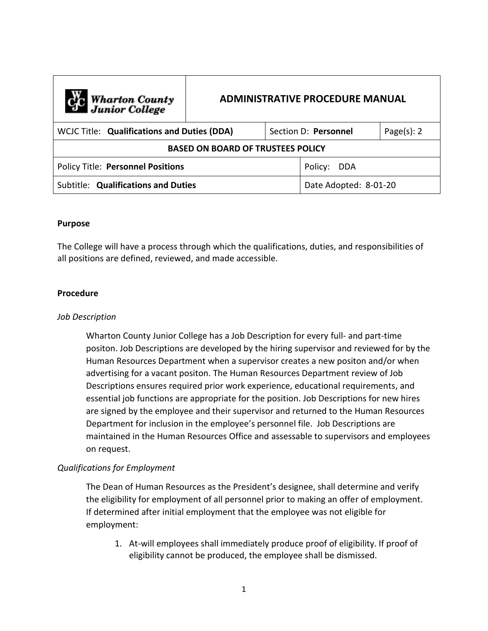| C <sub>C</sub> Wharton County<br>Junior College | <b>ADMINISTRATIVE PROCEDURE MANUAL</b> |                      |                       |                |
|-------------------------------------------------|----------------------------------------|----------------------|-----------------------|----------------|
| WCJC Title: Qualifications and Duties (DDA)     |                                        | Section D: Personnel |                       | Page $(s)$ : 2 |
| <b>BASED ON BOARD OF TRUSTEES POLICY</b>        |                                        |                      |                       |                |
| <b>Policy Title: Personnel Positions</b>        |                                        |                      | Policy:<br>DDA        |                |
| Subtitle: Qualifications and Duties             |                                        |                      | Date Adopted: 8-01-20 |                |

## **Purpose**

The College will have a process through which the qualifications, duties, and responsibilities of all positions are defined, reviewed, and made accessible.

## **Procedure**

#### *Job Description*

Wharton County Junior College has a Job Description for every full- and part-time positon. Job Descriptions are developed by the hiring supervisor and reviewed for by the Human Resources Department when a supervisor creates a new positon and/or when advertising for a vacant positon. The Human Resources Department review of Job Descriptions ensures required prior work experience, educational requirements, and essential job functions are appropriate for the position. Job Descriptions for new hires are signed by the employee and their supervisor and returned to the Human Resources Department for inclusion in the employee's personnel file. Job Descriptions are maintained in the Human Resources Office and assessable to supervisors and employees on request.

# *Qualifications for Employment*

The Dean of Human Resources as the President's designee, shall determine and verify the eligibility for employment of all personnel prior to making an offer of employment. If determined after initial employment that the employee was not eligible for employment:

1. At-will employees shall immediately produce proof of eligibility. If proof of eligibility cannot be produced, the employee shall be dismissed.